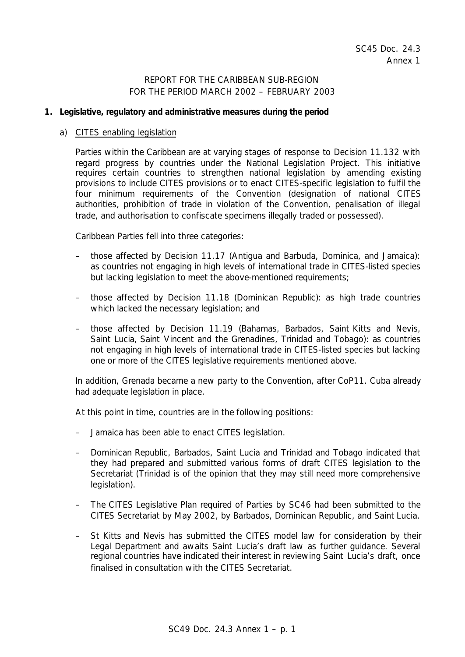# REPORT FOR THE CARIBBEAN SUB-REGION FOR THE PERIOD MARCH 2002 – FEBRUARY 2003

## **1. Legislative, regulatory and administrative measures during the period**

#### a) CITES enabling legislation

Parties within the Caribbean are at varying stages of response to Decision 11.132 with regard progress by countries under the National Legislation Project. This initiative requires certain countries to strengthen national legislation by amending existing provisions to include CITES provisions or to enact CITES-specific legislation to fulfil the four minimum requirements of the Convention (designation of national CITES authorities, prohibition of trade in violation of the Convention, penalisation of illegal trade, and authorisation to confiscate specimens illegally traded or possessed).

Caribbean Parties fell into three categories:

- those affected by Decision 11.17 (Antigua and Barbuda, Dominica, and Jamaica): as countries not engaging in high levels of international trade in CITES-listed species but lacking legislation to meet the above-mentioned requirements;
- those affected by Decision 11.18 (Dominican Republic): as high trade countries which lacked the necessary legislation; and
- those affected by Decision 11.19 (Bahamas, Barbados, Saint Kitts and Nevis, Saint Lucia, Saint Vincent and the Grenadines, Trinidad and Tobago): as countries not engaging in high levels of international trade in CITES-listed species but lacking one or more of the CITES legislative requirements mentioned above.

In addition, Grenada became a new party to the Convention, after CoP11. Cuba already had adequate legislation in place.

At this point in time, countries are in the following positions:

- Jamaica has been able to enact CITES legislation.
- Dominican Republic, Barbados, Saint Lucia and Trinidad and Tobago indicated that they had prepared and submitted various forms of draft CITES legislation to the Secretariat (Trinidad is of the opinion that they may still need more comprehensive legislation).
- The CITES Legislative Plan required of Parties by SC46 had been submitted to the CITES Secretariat by May 2002, by Barbados, Dominican Republic, and Saint Lucia.
- St Kitts and Nevis has submitted the CITES model law for consideration by their Legal Department and awaits Saint Lucia's draft law as further guidance. Several regional countries have indicated their interest in reviewing Saint Lucia's draft, once finalised in consultation with the CITES Secretariat.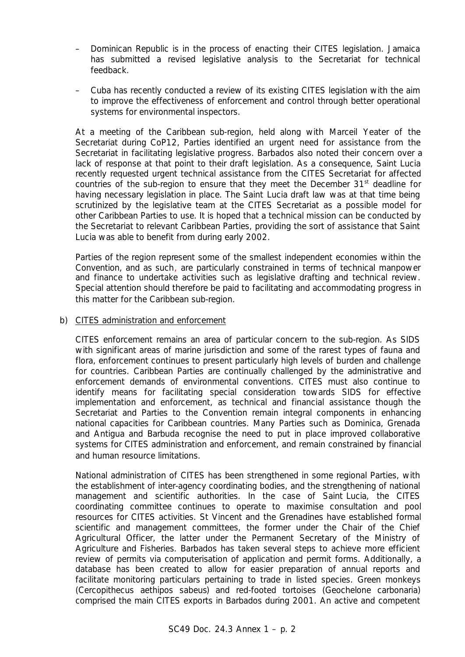- Dominican Republic is in the process of enacting their CITES legislation. Jamaica has submitted a revised legislative analysis to the Secretariat for technical feedback.
- Cuba has recently conducted a review of its existing CITES legislation with the aim to improve the effectiveness of enforcement and control through better operational systems for environmental inspectors.

At a meeting of the Caribbean sub-region, held along with Marceil Yeater of the Secretariat during CoP12, Parties identified an *urgent* need for assistance from the Secretariat in facilitating legislative progress. Barbados also noted their concern over a lack of response at that point to their draft legislation. As a consequence, Saint Lucia recently requested urgent technical assistance from the CITES Secretariat for affected countries of the sub-region to ensure that they meet the December 31<sup>st</sup> deadline for having necessary legislation in place. The Saint Lucia draft law was at that time being scrutinized by the legislative team at the CITES Secretariat as a possible model for other Caribbean Parties to use. It is hoped that a technical mission can be conducted by the Secretariat to relevant Caribbean Parties, providing the sort of assistance that Saint Lucia was able to benefit from during early 2002.

Parties of the region represent some of the smallest independent economies within the Convention, and as such, are particularly constrained in terms of technical manpower and finance to undertake activities such as legislative drafting and technical review. Special attention should therefore be paid to facilitating and accommodating progress in this matter for the Caribbean sub-region.

#### b) CITES administration and enforcement

CITES enforcement remains an area of particular concern to the sub-region. As SIDS with significant areas of marine jurisdiction and some of the rarest types of fauna and flora, enforcement continues to present particularly high levels of burden and challenge for countries. Caribbean Parties are continually challenged by the administrative and enforcement demands of environmental conventions. CITES must also continue to identify means for facilitating special consideration towards SIDS for effective implementation and enforcement, as technical and financial assistance though the Secretariat and Parties to the Convention remain integral components in enhancing national capacities for Caribbean countries. Many Parties such as Dominica, Grenada and Antigua and Barbuda recognise the need to put in place improved collaborative systems for CITES administration and enforcement, and remain constrained by financial and human resource limitations.

National administration of CITES has been strengthened in some regional Parties, with the establishment of inter-agency coordinating bodies, and the strengthening of national management and scientific authorities. In the case of Saint Lucia, the CITES coordinating committee continues to operate to maximise consultation and pool resources for CITES activities. St Vincent and the Grenadines have established formal scientific and management committees, the former under the Chair of the Chief Agricultural Officer, the latter under the Permanent Secretary of the Ministry of Agriculture and Fisheries. Barbados has taken several steps to achieve more efficient review of permits via computerisation of application and permit forms. Additionally, a database has been created to allow for easier preparation of annual reports and facilitate monitoring particulars pertaining to trade in listed species. Green monkeys (*Cercopithecus aethipos sabeus*) and red-footed tortoises (*Geochelone carbonaria*) comprised the main CITES exports in Barbados during 2001. An active and competent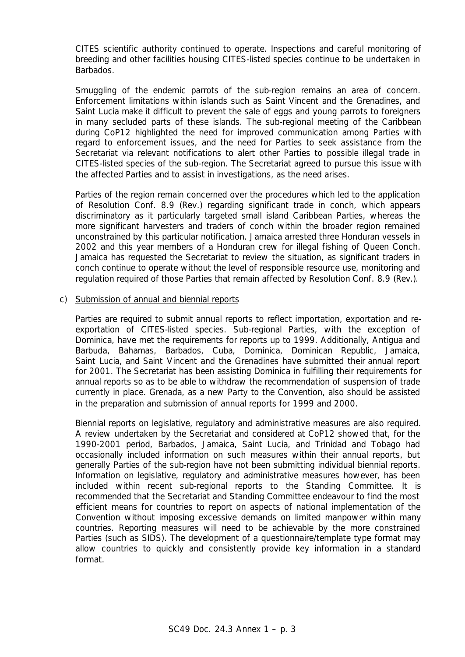CITES scientific authority continued to operate. Inspections and careful monitoring of breeding and other facilities housing CITES-listed species continue to be undertaken in Barbados.

Smuggling of the endemic parrots of the sub-region remains an area of concern. Enforcement limitations within islands such as Saint Vincent and the Grenadines, and Saint Lucia make it difficult to prevent the sale of eggs and young parrots to foreigners in many secluded parts of these islands. The sub-regional meeting of the Caribbean during CoP12 highlighted the need for improved communication among Parties with regard to enforcement issues, and the need for Parties to seek assistance from the Secretariat via relevant notifications to alert other Parties to possible illegal trade in CITES-listed species of the sub-region. The Secretariat agreed to pursue this issue with the affected Parties and to assist in investigations, as the need arises.

Parties of the region remain concerned over the procedures which led to the application of Resolution Conf. 8.9 (Rev.) regarding significant trade in conch, which appears discriminatory as it particularly targeted small island Caribbean Parties, whereas the more significant harvesters and traders of conch within the broader region remained unconstrained by this particular notification. Jamaica arrested three Honduran vessels in 2002 and this year members of a Honduran crew for illegal fishing of Queen Conch. Jamaica has requested the Secretariat to review the situation, as significant traders in conch continue to operate without the level of responsible resource use, monitoring and regulation required of those Parties that remain affected by Resolution Conf. 8.9 (Rev.).

#### c) Submission of annual and biennial reports

Parties are required to submit annual reports to reflect importation, exportation and reexportation of CITES-listed species. Sub-regional Parties, with the exception of Dominica, have met the requirements for reports up to 1999. Additionally, Antigua and Barbuda, Bahamas, Barbados, Cuba, Dominica, Dominican Republic, Jamaica, Saint Lucia, and Saint Vincent and the Grenadines have submitted their annual report for 2001. The Secretariat has been assisting Dominica in fulfilling their requirements for annual reports so as to be able to withdraw the recommendation of suspension of trade currently in place. Grenada, as a new Party to the Convention, also should be assisted in the preparation and submission of annual reports for 1999 and 2000.

Biennial reports on legislative, regulatory and administrative measures are also required. A review undertaken by the Secretariat and considered at CoP12 showed that, for the 1990-2001 period, Barbados, Jamaica, Saint Lucia, and Trinidad and Tobago had occasionally included information on such measures within their annual reports, but generally Parties of the sub-region have not been submitting individual biennial reports. Information on legislative, regulatory and administrative measures however, has been included within recent sub-regional reports to the Standing Committee. It is recommended that the Secretariat and Standing Committee endeavour to find the most efficient means for countries to report on aspects of national implementation of the Convention without imposing excessive demands on limited manpower within many countries. Reporting measures will need to be achievable by the more constrained Parties (such as SIDS). The development of a questionnaire/template type format may allow countries to quickly and consistently provide key information in a standard format.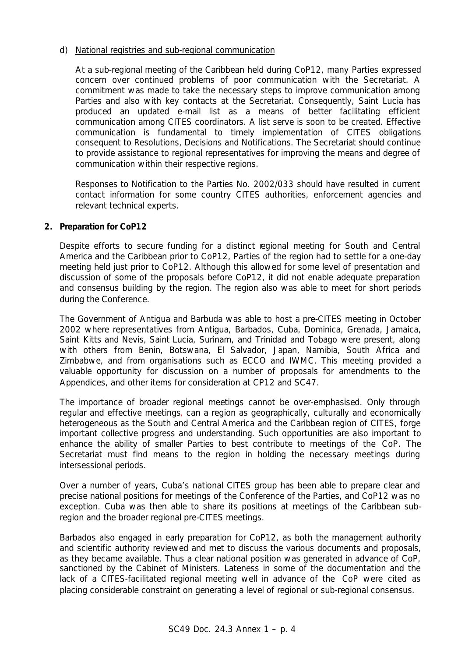## d) National registries and sub-regional communication

At a sub-regional meeting of the Caribbean held during CoP12, many Parties expressed concern over continued problems of poor communication with the Secretariat. A commitment was made to take the necessary steps to improve communication among Parties and also with key contacts at the Secretariat. Consequently, Saint Lucia has produced an updated e-mail list as a means of better facilitating efficient communication among CITES coordinators. A list serve is soon to be created. Effective communication is fundamental to timely implementation of CITES obligations consequent to Resolutions, Decisions and Notifications. The Secretariat should continue to provide assistance to regional representatives for improving the means and degree of communication within their respective regions.

Responses to Notification to the Parties No. 2002/033 should have resulted in current contact information for some country CITES authorities, enforcement agencies and relevant technical experts.

## **2. Preparation for CoP12**

Despite efforts to secure funding for a distinct regional meeting for South and Central America and the Caribbean prior to CoP12, Parties of the region had to settle for a one-day meeting held just prior to CoP12. Although this allowed for some level of presentation and discussion of some of the proposals before CoP12, it did not enable adequate preparation and consensus building by the region. The region also was able to meet for short periods during the Conference.

The Government of Antigua and Barbuda was able to host a pre-CITES meeting in October 2002 where representatives from Antigua, Barbados, Cuba, Dominica, Grenada, Jamaica, Saint Kitts and Nevis, Saint Lucia, Surinam, and Trinidad and Tobago were present, along with others from Benin, Botswana, El Salvador, Japan, Namibia, South Africa and Zimbabwe, and from organisations such as ECCO and IWMC. This meeting provided a valuable opportunity for discussion on a number of proposals for amendments to the Appendices, and other items for consideration at CP12 and SC47.

The importance of broader regional meetings cannot be over-emphasised. Only through regular and effective meetings, can a region as geographically, culturally and economically heterogeneous as the South and Central America and the Caribbean region of CITES, forge important collective progress and understanding. Such opportunities are also important to enhance the ability of smaller Parties to best contribute to meetings of the CoP. The Secretariat must find means to the region in holding the necessary meetings during intersessional periods.

Over a number of years, Cuba's national CITES group has been able to prepare clear and precise national positions for meetings of the Conference of the Parties, and CoP12 was no exception. Cuba was then able to share its positions at meetings of the Caribbean subregion and the broader regional pre-CITES meetings.

Barbados also engaged in early preparation for CoP12, as both the management authority and scientific authority reviewed and met to discuss the various documents and proposals, as they became available. Thus a clear national position was generated in advance of CoP, sanctioned by the Cabinet of Ministers. Lateness in some of the documentation and the lack of a CITES-facilitated regional meeting well in advance of the CoP were cited as placing considerable constraint on generating a level of regional or sub-regional consensus.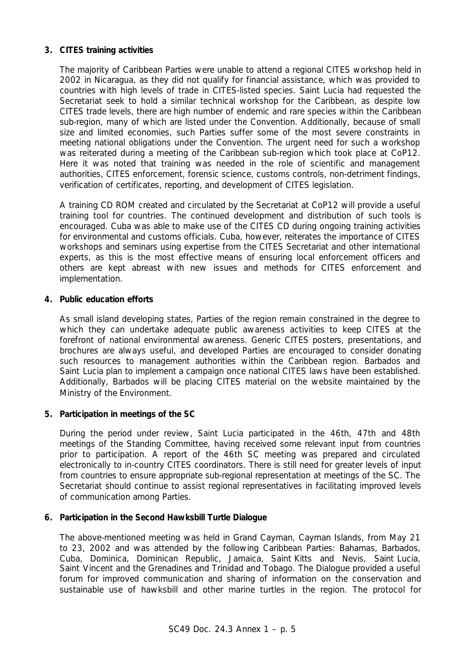## **3. CITES training activities**

The majority of Caribbean Parties were unable to attend a regional CITES workshop held in 2002 in Nicaragua, as they did not qualify for financial assistance, which was provided to countries with high levels of trade in CITES-listed species. Saint Lucia had requested the Secretariat seek to hold a similar technical workshop for the Caribbean, as despite low CITES trade levels, there are high number of endemic and rare species within the Caribbean sub-region, many of which are listed under the Convention. Additionally, because of small size and limited economies, such Parties suffer some of the most severe constraints in meeting national obligations under the Convention. The urgent need for such a workshop was reiterated during a meeting of the Caribbean sub-region which took place at CoP12. Here it was noted that training was needed in the role of scientific and management authorities, CITES enforcement, forensic science, customs controls, non-detriment findings, verification of certificates, reporting, and development of CITES legislation.

A training CD ROM created and circulated by the Secretariat at CoP12 will provide a useful training tool for countries. The continued development and distribution of such tools is encouraged. Cuba was able to make use of the CITES CD during ongoing training activities for environmental and customs officials. Cuba, however, reiterates the importance of CITES workshops and seminars using expertise from the CITES Secretariat and other international experts, as this is the most effective means of ensuring local enforcement officers and others are kept abreast with new issues and methods for CITES enforcement and implementation.

## **4. Public education efforts**

As small island developing states, Parties of the region remain constrained in the degree to which they can undertake adequate public awareness activities to keep CITES at the forefront of national environmental awareness. Generic CITES posters, presentations, and brochures are always useful, and developed Parties are encouraged to consider donating such resources to management authorities within the Caribbean region. Barbados and Saint Lucia plan to implement a campaign once national CITES laws have been established. Additionally, Barbados will be placing CITES material on the website maintained by the Ministry of the Environment.

## **5. Participation in meetings of the SC**

During the period under review, Saint Lucia participated in the 46th, 47th and 48th meetings of the Standing Committee, having received some relevant input from countries prior to participation. A report of the 46th SC meeting was prepared and circulated electronically to in-country CITES coordinators. There is still need for greater levels of input from countries to ensure appropriate sub-regional representation at meetings of the SC. The Secretariat should continue to assist regional representatives in facilitating improved levels of communication among Parties.

## **6. Participation in the Second Hawksbill Turtle Dialogue**

The above-mentioned meeting was held in Grand Cayman, Cayman Islands, from May 21 to 23, 2002 and was attended by the following Caribbean Parties: Bahamas, Barbados, Cuba, Dominica, Dominican Republic, Jamaica, Saint Kitts and Nevis, Saint Lucia, Saint Vincent and the Grenadines and Trinidad and Tobago. The Dialogue provided a useful forum for improved communication and sharing of information on the conservation and sustainable use of hawksbill and other marine turtles in the region. The protocol for